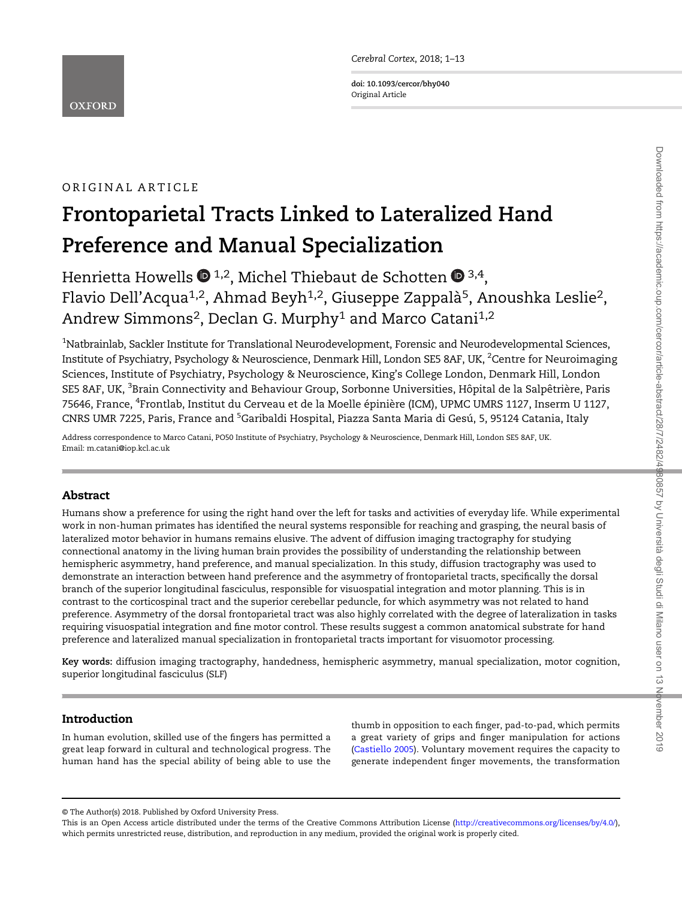doi: 10.1093/cercor/bhy040 Original Article

# ORIGINAL ARTICLE

# Frontoparietal Tracts Linked to Lateralized Hand Preference and Manual Specialization

Henrietta Howell[s](http://orcid.org/0000-0001-7191-2822)  $\mathbf{D}^{1,2}$ , Michel Thiebaut de Schotten  $\mathbf{D}^{3,4}$ , Flavio Dell'Acqua<sup>1,2</sup>, Ahmad Beyh<sup>1,2</sup>, Giuseppe Zappalà<sup>5</sup>, Anoushka Leslie<sup>2</sup>, Andrew Simmons<sup>2</sup>, Declan G. Murphy<sup>1</sup> and Marco Catani<sup>1,2</sup>

 $^{\rm 1}$ Natbrainlab, Sackler Institute for Translational Neurodevelopment, Forensic and Neurodevelopmental Sciences, Institute of Psychiatry, Psychology & Neuroscience, Denmark Hill, London SE5 8AF, UK, <sup>2</sup>Centre for Neuroimaging Sciences, Institute of Psychiatry, Psychology & Neuroscience, King's College London, Denmark Hill, London SE5 8AF, UK, <sup>3</sup>Brain Connectivity and Behaviour Group, Sorbonne Universities, Hôpital de la Salpêtrière, Paris 75646, France, <sup>4</sup>Frontlab, Institut du Cerveau et de la Moelle épinière (ICM), UPMC UMRS 1127, Inserm U 1127, CNRS UMR 7225, Paris, France and <sup>5</sup>Garibaldi Hospital, Piazza Santa Maria di Gesú, 5, 95124 Catania, Italy

Address correspondence to Marco Catani, PO50 Institute of Psychiatry, Psychology & Neuroscience, Denmark Hill, London SE5 8AF, UK. Email: m.catani@iop.kcl.ac.uk

# Abstract

Humans show a preference for using the right hand over the left for tasks and activities of everyday life. While experimental work in non-human primates has identified the neural systems responsible for reaching and grasping, the neural basis of lateralized motor behavior in humans remains elusive. The advent of diffusion imaging tractography for studying connectional anatomy in the living human brain provides the possibility of understanding the relationship between hemispheric asymmetry, hand preference, and manual specialization. In this study, diffusion tractography was used to demonstrate an interaction between hand preference and the asymmetry of frontoparietal tracts, specifically the dorsal branch of the superior longitudinal fasciculus, responsible for visuospatial integration and motor planning. This is in contrast to the corticospinal tract and the superior cerebellar peduncle, for which asymmetry was not related to hand preference. Asymmetry of the dorsal frontoparietal tract was also highly correlated with the degree of lateralization in tasks requiring visuospatial integration and fine motor control. These results suggest a common anatomical substrate for hand preference and lateralized manual specialization in frontoparietal tracts important for visuomotor processing.

Key words: diffusion imaging tractography, handedness, hemispheric asymmetry, manual specialization, motor cognition, superior longitudinal fasciculus (SLF)

# Introduction

In human evolution, skilled use of the fingers has permitted a great leap forward in cultural and technological progress. The human hand has the special ability of being able to use the

thumb in opposition to each finger, pad-to-pad, which permits a great variety of grips and finger manipulation for actions [\(Castiello 2005](#page-10-0)). Voluntary movement requires the capacity to generate independent finger movements, the transformation

© The Author(s) 2018. Published by Oxford University Press.

This is an Open Access article distributed under the terms of the Creative Commons Attribution License [\(http://creativecommons.org/licenses/by/4.0/](http://creativecommons.org/licenses/by/4.0/)), which permits unrestricted reuse, distribution, and reproduction in any medium, provided the original work is properly cited.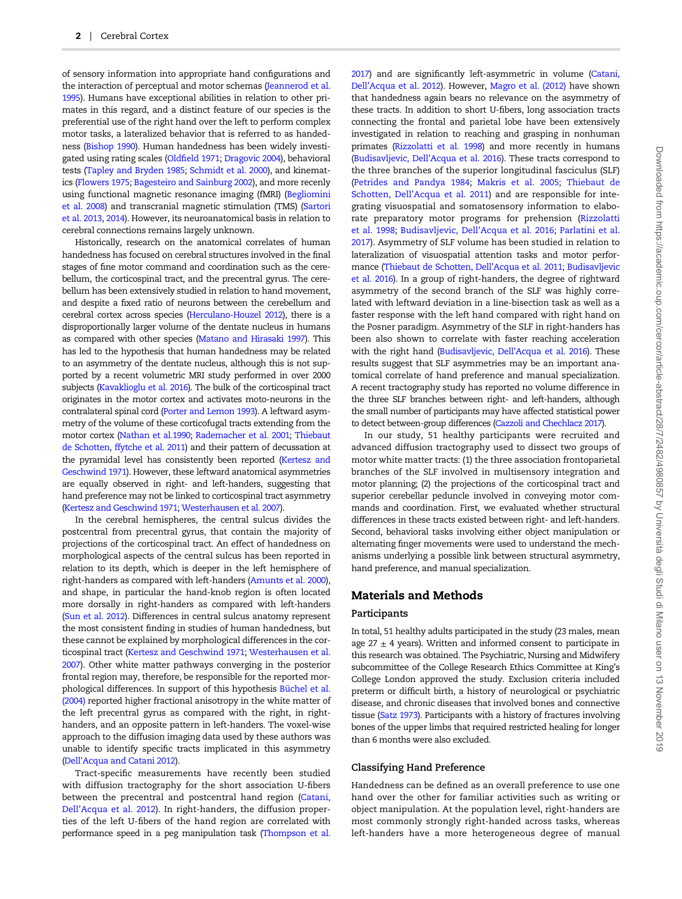of sensory information into appropriate hand configurations and the interaction of perceptual and motor schemas ([Jeannerod et al.](#page-11-0) [1995\)](#page-11-0). Humans have exceptional abilities in relation to other primates in this regard, and a distinct feature of our species is the preferential use of the right hand over the left to perform complex motor tasks, a lateralized behavior that is referred to as handedness [\(Bishop 1990\)](#page-9-0). Human handedness has been widely investigated using rating scales (Oldfi[eld 1971](#page-11-0); [Dragovic 2004](#page-10-0)), behavioral tests [\(Tapley and Bryden 1985;](#page-12-0) [Schmidt et al. 2000](#page-12-0)), and kinematics ([Flowers 1975;](#page-10-0) [Bagesteiro and Sainburg 2002\)](#page-9-0), and more recenly using functional magnetic resonance imaging (fMRI) [\(Begliomini](#page-9-0) [et al. 2008](#page-9-0)) and transcranial magnetic stimulation (TMS) [\(Sartori](#page-12-0) [et al. 2013,](#page-12-0) [2014\)](#page-12-0). However, its neuroanatomical basis in relation to cerebral connections remains largely unknown.

Historically, research on the anatomical correlates of human handedness has focused on cerebral structures involved in the final stages of fine motor command and coordination such as the cerebellum, the corticospinal tract, and the precentral gyrus. The cerebellum has been extensively studied in relation to hand movement, and despite a fixed ratio of neurons between the cerebellum and cerebral cortex across species [\(Herculano-Houzel 2012](#page-11-0)), there is a disproportionally larger volume of the dentate nucleus in humans as compared with other species [\(Matano and Hirasaki 1997\)](#page-11-0). This has led to the hypothesis that human handedness may be related to an asymmetry of the dentate nucleus, although this is not supported by a recent volumetric MRI study performed in over 2000 subjects [\(Kavaklioglu et al. 2016\)](#page-11-0). The bulk of the corticospinal tract originates in the motor cortex and activates moto-neurons in the contralateral spinal cord [\(Porter and Lemon 1993\)](#page-11-0). A leftward asymmetry of the volume of these corticofugal tracts extending from the motor cortex [\(Nathan et al.1990;](#page-11-0) [Rademacher et al. 2001](#page-11-0); [Thiebaut](#page-12-0) [de Schotten, ffytche et al. 2011](#page-12-0)) and their pattern of decussation at the pyramidal level has consistently been reported [\(Kertesz and](#page-11-0) [Geschwind 1971](#page-11-0)). However, these leftward anatomical asymmetries are equally observed in right- and left-handers, suggesting that hand preference may not be linked to corticospinal tract asymmetry [\(Kertesz and Geschwind 1971;](#page-11-0) [Westerhausen et al. 2007](#page-12-0)).

In the cerebral hemispheres, the central sulcus divides the postcentral from precentral gyrus, that contain the majority of projections of the corticospinal tract. An effect of handedness on morphological aspects of the central sulcus has been reported in relation to its depth, which is deeper in the left hemisphere of right-handers as compared with left-handers [\(Amunts et al. 2000\)](#page-9-0), and shape, in particular the hand-knob region is often located more dorsally in right-handers as compared with left-handers [\(Sun et al. 2012\)](#page-12-0). Differences in central sulcus anatomy represent the most consistent finding in studies of human handedness, but these cannot be explained by morphological differences in the corticospinal tract [\(Kertesz and Geschwind 1971](#page-11-0); [Westerhausen et al.](#page-12-0) [2007\)](#page-12-0). Other white matter pathways converging in the posterior frontal region may, therefore, be responsible for the reported morphological differences. In support of this hypothesis [Büchel et al.](#page-10-0) [\(2004\)](#page-10-0) reported higher fractional anisotropy in the white matter of the left precentral gyrus as compared with the right, in righthanders, and an opposite pattern in left-handers. The voxel-wise approach to the diffusion imaging data used by these authors was unable to identify specific tracts implicated in this asymmetry (Dell'[Acqua and Catani 2012\)](#page-10-0).

Tract-specific measurements have recently been studied with diffusion tractography for the short association U-fibers between the precentral and postcentral hand region [\(Catani,](#page-10-0) Dell'[Acqua et al. 2012](#page-10-0)). In right-handers, the diffusion properties of the left U-fibers of the hand region are correlated with performance speed in a peg manipulation task ([Thompson et al.](#page-12-0)

[2017\)](#page-12-0) and are significantly left-asymmetric in volume [\(Catani,](#page-10-0) Dell'[Acqua et al. 2012\)](#page-10-0). However, [Magro et al. \(2012\)](#page-11-0) have shown that handedness again bears no relevance on the asymmetry of these tracts. In addition to short U-fibers, long association tracts connecting the frontal and parietal lobe have been extensively investigated in relation to reaching and grasping in nonhuman primates [\(Rizzolatti et al. 1998\)](#page-11-0) and more recently in humans [\(Budisavljevic, Dell](#page-10-0)'Acqua et al. 2016). These tracts correspond to the three branches of the superior longitudinal fasciculus (SLF) [\(Petrides and Pandya 1984](#page-11-0); [Makris et al. 2005;](#page-11-0) [Thiebaut de](#page-12-0) Schotten, Dell'[Acqua et al. 2011\)](#page-12-0) and are responsible for integrating visuospatial and somatosensory information to elaborate preparatory motor programs for prehension ([Rizzolatti](#page-11-0) [et al. 1998](#page-11-0); [Budisavljevic, Dell](#page-10-0)'Acqua et al. 2016; [Parlatini et al.](#page-11-0) [2017\)](#page-11-0). Asymmetry of SLF volume has been studied in relation to lateralization of visuospatial attention tasks and motor performance [\(Thiebaut de Schotten, Dell](#page-12-0)'Acqua et al. 2011; [Budisavljevic](#page-10-0) [et al. 2016](#page-10-0)). In a group of right-handers, the degree of rightward asymmetry of the second branch of the SLF was highly correlated with leftward deviation in a line-bisection task as well as a faster response with the left hand compared with right hand on the Posner paradigm. Asymmetry of the SLF in right-handers has been also shown to correlate with faster reaching acceleration with the right hand [\(Budisavljevic, Dell](#page-10-0)'Acqua et al. 2016). These results suggest that SLF asymmetries may be an important anatomical correlate of hand preference and manual specialization. A recent tractography study has reported no volume difference in the three SLF branches between right- and left-handers, although the small number of participants may have affected statistical power to detect between-group differences [\(Cazzoli and Chechlacz 2017](#page-10-0)).

In our study, 51 healthy participants were recruited and advanced diffusion tractography used to dissect two groups of motor white matter tracts: (1) the three association frontoparietal branches of the SLF involved in multisensory integration and motor planning; (2) the projections of the corticospinal tract and superior cerebellar peduncle involved in conveying motor commands and coordination. First, we evaluated whether structural differences in these tracts existed between right- and left-handers. Second, behavioral tasks involving either object manipulation or alternating finger movements were used to understand the mechanisms underlying a possible link between structural asymmetry, hand preference, and manual specialization.

## Materials and Methods

## Participants

In total, 51 healthy adults participated in the study (23 males, mean age 27  $\pm$  4 years). Written and informed consent to participate in this research was obtained. The Psychiatric, Nursing and Midwifery subcommittee of the College Research Ethics Committee at King's College London approved the study. Exclusion criteria included preterm or difficult birth, a history of neurological or psychiatric disease, and chronic diseases that involved bones and connective tissue [\(Satz 1973\)](#page-12-0). Participants with a history of fractures involving bones of the upper limbs that required restricted healing for longer than 6 months were also excluded.

# Classifying Hand Preference

Handedness can be defined as an overall preference to use one hand over the other for familiar activities such as writing or object manipulation. At the population level, right-handers are most commonly strongly right-handed across tasks, whereas left-handers have a more heterogeneous degree of manual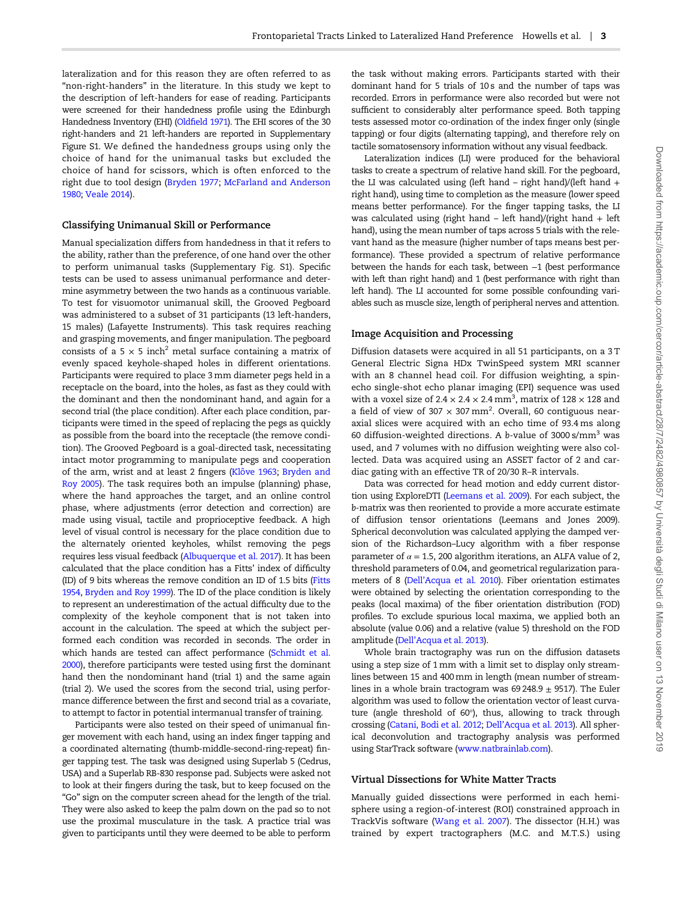lateralization and for this reason they are often referred to as "non-right-handers" in the literature. In this study we kept to the description of left-handers for ease of reading. Participants were screened for their handedness profile using the Edinburgh Handedness Inventory (EHI) (Oldfi[eld 1971](#page-11-0)). The EHI scores of the 30 right-handers and 21 left-handers are reported in Supplementary Figure S1. We defined the handedness groups using only the choice of hand for the unimanual tasks but excluded the choice of hand for scissors, which is often enforced to the right due to tool design ([Bryden 1977](#page-10-0); [McFarland and Anderson](#page-11-0) [1980](#page-11-0); [Veale 2014](#page-12-0)).

#### Classifying Unimanual Skill or Performance

Manual specialization differs from handedness in that it refers to the ability, rather than the preference, of one hand over the other to perform unimanual tasks (Supplementary Fig. S1). Specific tests can be used to assess unimanual performance and determine asymmetry between the two hands as a continuous variable. To test for visuomotor unimanual skill, the Grooved Pegboard was administered to a subset of 31 participants (13 left-handers, 15 males) (Lafayette Instruments). This task requires reaching and grasping movements, and finger manipulation. The pegboard consists of a 5  $\times$  5 inch<sup>2</sup> metal surface containing a matrix of evenly spaced keyhole-shaped holes in different orientations. Participants were required to place 3 mm diameter pegs held in a receptacle on the board, into the holes, as fast as they could with the dominant and then the nondominant hand, and again for a second trial (the place condition). After each place condition, participants were timed in the speed of replacing the pegs as quickly as possible from the board into the receptacle (the remove condition). The Grooved Pegboard is a goal-directed task, necessitating intact motor programming to manipulate pegs and cooperation of the arm, wrist and at least 2 fingers [\(Klôve 1963](#page-11-0); [Bryden and](#page-10-0) [Roy 2005\)](#page-10-0). The task requires both an impulse (planning) phase, where the hand approaches the target, and an online control phase, where adjustments (error detection and correction) are made using visual, tactile and proprioceptive feedback. A high level of visual control is necessary for the place condition due to the alternately oriented keyholes, whilst removing the pegs requires less visual feedback [\(Albuquerque et al. 2017\)](#page-9-0). It has been calculated that the place condition has a Fitts' index of difficulty (ID) of 9 bits whereas the remove condition an ID of 1.5 bits ([Fitts](#page-10-0) [1954,](#page-10-0) [Bryden and Roy 1999\)](#page-10-0). The ID of the place condition is likely to represent an underestimation of the actual difficulty due to the complexity of the keyhole component that is not taken into account in the calculation. The speed at which the subject performed each condition was recorded in seconds. The order in which hands are tested can affect performance [\(Schmidt et al.](#page-12-0) [2000\)](#page-12-0), therefore participants were tested using first the dominant hand then the nondominant hand (trial 1) and the same again (trial 2). We used the scores from the second trial, using performance difference between the first and second trial as a covariate, to attempt to factor in potential intermanual transfer of training.

Participants were also tested on their speed of unimanual finger movement with each hand, using an index finger tapping and a coordinated alternating (thumb-middle-second-ring-repeat) finger tapping test. The task was designed using Superlab 5 (Cedrus, USA) and a Superlab RB-830 response pad. Subjects were asked not to look at their fingers during the task, but to keep focused on the "Go" sign on the computer screen ahead for the length of the trial. They were also asked to keep the palm down on the pad so to not use the proximal musculature in the task. A practice trial was given to participants until they were deemed to be able to perform

the task without making errors. Participants started with their dominant hand for 5 trials of 10 s and the number of taps was recorded. Errors in performance were also recorded but were not sufficient to considerably alter performance speed. Both tapping tests assessed motor co-ordination of the index finger only (single tapping) or four digits (alternating tapping), and therefore rely on tactile somatosensory information without any visual feedback.

Lateralization indices (LI) were produced for the behavioral tasks to create a spectrum of relative hand skill. For the pegboard, the LI was calculated using (left hand – right hand)/(left hand  $+$ right hand), using time to completion as the measure (lower speed means better performance). For the finger tapping tasks, the LI was calculated using (right hand  $-$  left hand)/(right hand  $+$  left hand), using the mean number of taps across 5 trials with the relevant hand as the measure (higher number of taps means best performance). These provided a spectrum of relative performance between the hands for each task, between −1 (best performance with left than right hand) and 1 (best performance with right than left hand). The LI accounted for some possible confounding variables such as muscle size, length of peripheral nerves and attention.

## Image Acquisition and Processing

Diffusion datasets were acquired in all 51 participants, on a 3 T General Electric Signa HDx TwinSpeed system MRI scanner with an 8 channel head coil. For diffusion weighting, a spinecho single-shot echo planar imaging (EPI) sequence was used with a voxel size of 2.4  $\times$  2.4  $\times$  2.4 mm<sup>3</sup>, matrix of 128  $\times$  128 and a field of view of 307  $\times$  307 mm<sup>2</sup>. Overall, 60 contiguous nearaxial slices were acquired with an echo time of 93.4 ms along 60 diffusion-weighted directions. A b-value of 3000 s/mm<sup>3</sup> was used, and 7 volumes with no diffusion weighting were also collected. Data was acquired using an ASSET factor of 2 and cardiac gating with an effective TR of 20/30 R–R intervals.

Data was corrected for head motion and eddy current distortion using ExploreDTI [\(Leemans et al. 2009\)](#page-11-0). For each subject, the b-matrix was then reoriented to provide a more accurate estimate of diffusion tensor orientations (Leemans and Jones 2009). Spherical deconvolution was calculated applying the damped version of the Richardson–Lucy algorithm with a fiber response parameter of  $\alpha$  = 1.5, 200 algorithm iterations, an ALFA value of 2, threshold parameters of 0.04, and geometrical regularization parameters of 8 (Dell'[Acqua et al. 2010](#page-10-0)). Fiber orientation estimates were obtained by selecting the orientation corresponding to the peaks (local maxima) of the fiber orientation distribution (FOD) profiles. To exclude spurious local maxima, we applied both an absolute (value 0.06) and a relative (value 5) threshold on the FOD amplitude (Dell'[Acqua et al. 2013](#page-10-0)).

Whole brain tractography was run on the diffusion datasets using a step size of 1 mm with a limit set to display only streamlines between 15 and 400 mm in length (mean number of streamlines in a whole brain tractogram was 69 248.9  $\pm$  9517). The Euler algorithm was used to follow the orientation vector of least curvature (angle threshold of 60°), thus, allowing to track through crossing ([Catani, Bodi et al. 2012](#page-10-0); Dell'[Acqua et al. 2013\)](#page-10-0). All spherical deconvolution and tractography analysis was performed using StarTrack software ([www.natbrainlab.com](http://www.natbrainlab.com)).

## Virtual Dissections for White Matter Tracts

Manually guided dissections were performed in each hemisphere using a region-of-interest (ROI) constrained approach in TrackVis software [\(Wang et al. 2007](#page-12-0)). The dissector (H.H.) was trained by expert tractographers (M.C. and M.T.S.) using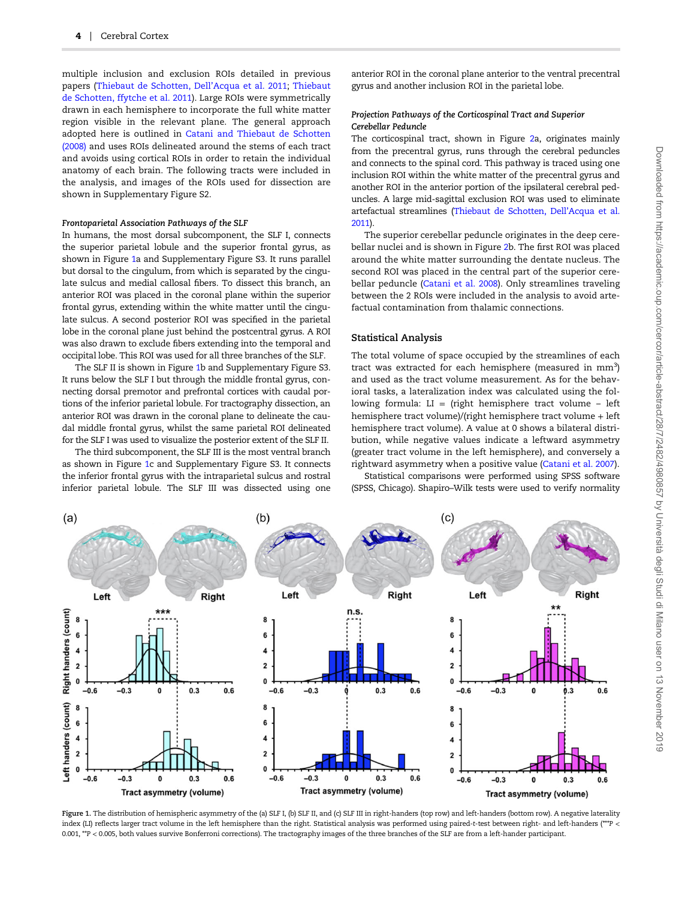<span id="page-3-0"></span>multiple inclusion and exclusion ROIs detailed in previous papers ([Thiebaut de Schotten, Dell](#page-12-0)'Acqua et al. 2011; [Thiebaut](#page-12-0) [de Schotten, ffytche et al. 2011](#page-12-0)). Large ROIs were symmetrically drawn in each hemisphere to incorporate the full white matter region visible in the relevant plane. The general approach adopted here is outlined in [Catani and Thiebaut de Schotten](#page-10-0) [\(2008\)](#page-10-0) and uses ROIs delineated around the stems of each tract and avoids using cortical ROIs in order to retain the individual anatomy of each brain. The following tracts were included in the analysis, and images of the ROIs used for dissection are shown in Supplementary Figure S2.

#### Frontoparietal Association Pathways of the SLF

In humans, the most dorsal subcomponent, the SLF I, connects the superior parietal lobule and the superior frontal gyrus, as shown in Figure 1a and Supplementary Figure S3. It runs parallel but dorsal to the cingulum, from which is separated by the cingulate sulcus and medial callosal fibers. To dissect this branch, an anterior ROI was placed in the coronal plane within the superior frontal gyrus, extending within the white matter until the cingulate sulcus. A second posterior ROI was specified in the parietal lobe in the coronal plane just behind the postcentral gyrus. A ROI was also drawn to exclude fibers extending into the temporal and occipital lobe. This ROI was used for all three branches of the SLF.

The SLF II is shown in Figure 1b and Supplementary Figure S3. It runs below the SLF I but through the middle frontal gyrus, connecting dorsal premotor and prefrontal cortices with caudal portions of the inferior parietal lobule. For tractography dissection, an anterior ROI was drawn in the coronal plane to delineate the caudal middle frontal gyrus, whilst the same parietal ROI delineated for the SLF I was used to visualize the posterior extent of the SLF II.

The third subcomponent, the SLF III is the most ventral branch as shown in Figure 1c and Supplementary Figure S3. It connects the inferior frontal gyrus with the intraparietal sulcus and rostral inferior parietal lobule. The SLF III was dissected using one anterior ROI in the coronal plane anterior to the ventral precentral gyrus and another inclusion ROI in the parietal lobe.

## Projection Pathways of the Corticospinal Tract and Superior Cerebellar Peduncle

The corticospinal tract, shown in Figure [2](#page-4-0)a, originates mainly from the precentral gyrus, runs through the cerebral peduncles and connects to the spinal cord. This pathway is traced using one inclusion ROI within the white matter of the precentral gyrus and another ROI in the anterior portion of the ipsilateral cerebral peduncles. A large mid-sagittal exclusion ROI was used to eliminate artefactual streamlines [\(Thiebaut de Schotten, Dell](#page-12-0)'Acqua et al. [2011\)](#page-12-0).

The superior cerebellar peduncle originates in the deep cerebellar nuclei and is shown in Figure [2b](#page-4-0). The first ROI was placed around the white matter surrounding the dentate nucleus. The second ROI was placed in the central part of the superior cerebellar peduncle ([Catani et al. 2008\)](#page-10-0). Only streamlines traveling between the 2 ROIs were included in the analysis to avoid artefactual contamination from thalamic connections.

#### Statistical Analysis

The total volume of space occupied by the streamlines of each tract was extracted for each hemisphere (measured in  $\mathrm{mm}^3\!$ and used as the tract volume measurement. As for the behavioral tasks, a lateralization index was calculated using the following formula:  $LI = (right hemisphere tract volume - left$ hemisphere tract volume)/(right hemisphere tract volume + left hemisphere tract volume). A value at 0 shows a bilateral distribution, while negative values indicate a leftward asymmetry (greater tract volume in the left hemisphere), and conversely a rightward asymmetry when a positive value ([Catani et al. 2007](#page-10-0)).

Statistical comparisons were performed using SPSS software (SPSS, Chicago). Shapiro–Wilk tests were used to verify normality



Figure 1. The distribution of hemispheric asymmetry of the (a) SLF I, (b) SLF II, and (c) SLF III in right-handers (top row) and left-handers (bottom row). A negative laterality index (LI) reflects larger tract volume in the left hemisphere than the right. Statistical analysis was performed using paired-t-test between right- and left-handers (\*\*P < 0.001, \*\*P < 0.005, both values survive Bonferroni corrections). The tractography images of the three branches of the SLF are from a left-hander participant.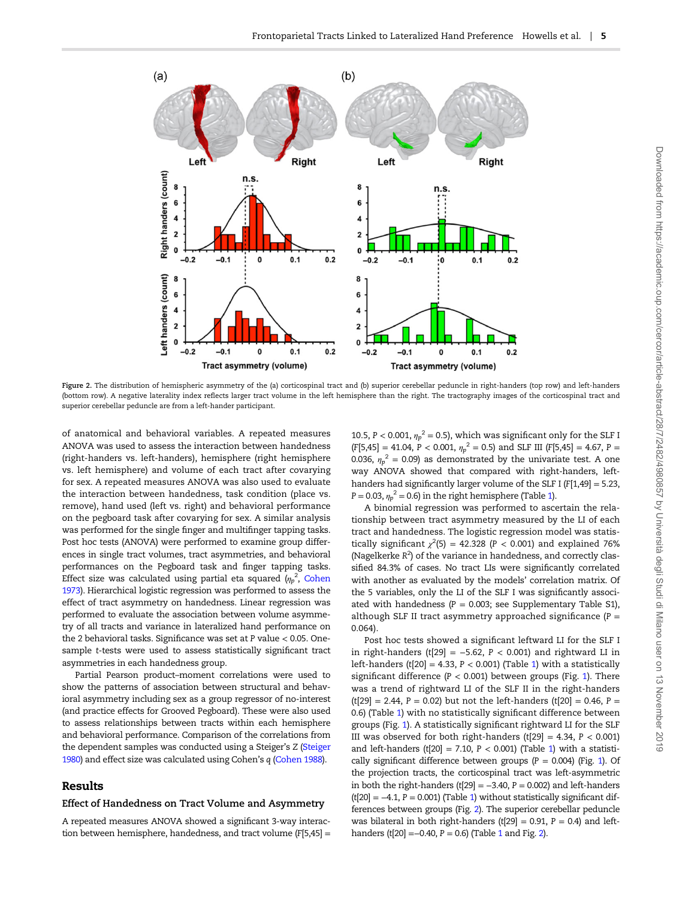<span id="page-4-0"></span>

Figure 2. The distribution of hemispheric asymmetry of the (a) corticospinal tract and (b) superior cerebellar peduncle in right-handers (top row) and left-handers (bottom row). A negative laterality index reflects larger tract volume in the left hemisphere than the right. The tractography images of the corticospinal tract and superior cerebellar peduncle are from a left-hander participant.

of anatomical and behavioral variables. A repeated measures ANOVA was used to assess the interaction between handedness (right-handers vs. left-handers), hemisphere (right hemisphere vs. left hemisphere) and volume of each tract after covarying for sex. A repeated measures ANOVA was also used to evaluate the interaction between handedness, task condition (place vs. remove), hand used (left vs. right) and behavioral performance on the pegboard task after covarying for sex. A similar analysis was performed for the single finger and multifinger tapping tasks. Post hoc tests (ANOVA) were performed to examine group differences in single tract volumes, tract asymmetries, and behavioral performances on the Pegboard task and finger tapping tasks. Effect size was calculated using partial eta squared  $\left(\eta_p^{\phantom{p}2},\right.$  [Cohen](#page-10-0) [1973\)](#page-10-0). Hierarchical logistic regression was performed to assess the effect of tract asymmetry on handedness. Linear regression was performed to evaluate the association between volume asymmetry of all tracts and variance in lateralized hand performance on the 2 behavioral tasks. Significance was set at P value < 0.05. Onesample t-tests were used to assess statistically significant tract asymmetries in each handedness group.

Partial Pearson product–moment correlations were used to show the patterns of association between structural and behavioral asymmetry including sex as a group regressor of no-interest (and practice effects for Grooved Pegboard). These were also used to assess relationships between tracts within each hemisphere and behavioral performance. Comparison of the correlations from the dependent samples was conducted using a Steiger's Z ([Steiger](#page-12-0) [1980\)](#page-12-0) and effect size was calculated using Cohen's q [\(Cohen 1988\)](#page-10-0).

# Results

# Effect of Handedness on Tract Volume and Asymmetry

A repeated measures ANOVA showed a significant 3-way interaction between hemisphere, handedness, and tract volume  $(F[5,45] =$ 

10.5, P < 0.001,  $\eta_p^2$  = 0.5), which was significant only for the SLF I  $(F[5,45] = 41.04, P < 0.001, \eta_p^2 = 0.5)$  and SLF III (F[5,45] = 4.67, P = 0.036,  $\eta_p^2 = 0.09$ ) as demonstrated by the univariate test. A one way ANOVA showed that compared with right-handers, lefthanders had significantly larger volume of the SLF I  $(F[1,49] = 5.23,$ P = 0.03,  $\eta_p^2$  = 0.6) in the right hemisphere (Table [1\)](#page-5-0).

A binomial regression was performed to ascertain the relationship between tract asymmetry measured by the LI of each tract and handedness. The logistic regression model was statistically significant  $\chi^2(5) = 42.328$  (P < 0.001) and explained 76% (Nagelkerke  $R^2$ ) of the variance in handedness, and correctly classified 84.3% of cases. No tract LIs were significantly correlated with another as evaluated by the models' correlation matrix. Of the 5 variables, only the LI of the SLF I was significantly associated with handedness ( $P = 0.003$ ; see Supplementary Table S1), although SLF II tract asymmetry approached significance ( $P =$ 0.064).

Post hoc tests showed a significant leftward LI for the SLF I in right-handers (t[29] =  $-5.62$ ,  $P < 0.001$ ) and rightward LI in left-handers (t[20] = 4.33,  $P < 0.001$ ) (Table [1\)](#page-5-0) with a statistically significant difference ( $P < 0.001$  $P < 0.001$ ) between groups (Fig. 1). There was a trend of rightward LI of the SLF II in the right-handers  $(t[29] = 2.44, P = 0.02)$  but not the left-handers  $(t[20] = 0.46, P = 0.02)$ 0.6) (Table [1\)](#page-5-0) with no statistically significant difference between groups (Fig. [1\)](#page-3-0). A statistically significant rightward LI for the SLF III was observed for both right-handers (t[29] = 4.34,  $P < 0.001$ ) and left-handers (t[20] = 7.10,  $P < 0.001$ ) (Table [1\)](#page-5-0) with a statistically significant difference between groups ( $P = 0.004$ ) (Fig. [1\)](#page-3-0). Of the projection tracts, the corticospinal tract was left-asymmetric in both the right-handers (t[29] =  $-3.40$ ,  $P = 0.002$ ) and left-handers  $(t[20] = -4.1, P = 0.001)$  $(t[20] = -4.1, P = 0.001)$  $(t[20] = -4.1, P = 0.001)$  (Table 1) without statistically significant differences between groups (Fig. 2). The superior cerebellar peduncle was bilateral in both right-handers (t[29] = 0.91,  $P = 0.4$ ) and lefthanders (t[20] =  $-0.40$ , P = 0.6) (Table [1](#page-5-0) and Fig. 2).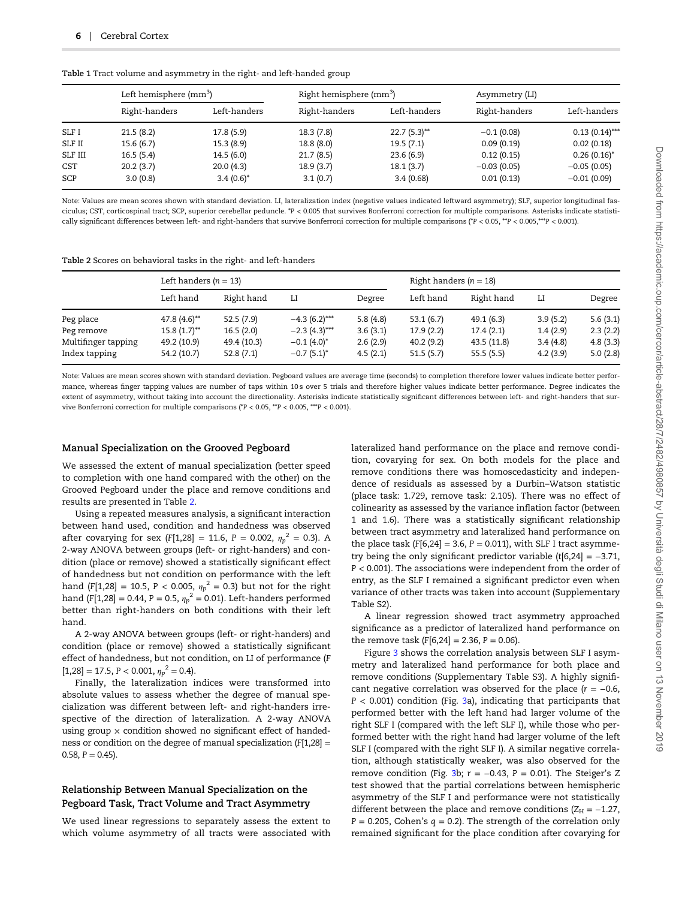|            | Left hemisphere $(mm3)$ |              | Right hemisphere $(mm3)$ |                | Asymmetry (LI) |                  |  |
|------------|-------------------------|--------------|--------------------------|----------------|----------------|------------------|--|
|            | Right-handers           | Left-handers | Right-handers            | Left-handers   | Right-handers  | Left-handers     |  |
| SLF I      | 21.5(8.2)               | 17.8(5.9)    | 18.3(7.8)                | $22.7(5.3)$ ** | $-0.1(0.08)$   | $0.13(0.14)$ *** |  |
| SLF II     | 15.6(6.7)               | 15.3(8.9)    | 18.8(8.0)                | 19.5(7.1)      | 0.09(0.19)     | 0.02(0.18)       |  |
| SLF III    | 16.5(5.4)               | 14.5(6.0)    | 21.7(8.5)                | 23.6(6.9)      | 0.12(0.15)     | $0.26(0.16)^*$   |  |
| <b>CST</b> | 20.2(3.7)               | 20.0(4.3)    | 18.9(3.7)                | 18.1(3.7)      | $-0.03(0.05)$  | $-0.05(0.05)$    |  |
| SCP        | 3.0(0.8)                | $3.4(0.6)^*$ | 3.1(0.7)                 | 3.4(0.68)      | 0.01(0.13)     | $-0.01(0.09)$    |  |

<span id="page-5-0"></span>Table 1 Tract volume and asymmetry in the right- and left-handed group

Note: Values are mean scores shown with standard deviation. LI, lateralization index (negative values indicated leftward asymmetry); SLF, superior longitudinal fasciculus; CST, corticospinal tract; SCP, superior cerebellar peduncle. \*P < 0.005 that survives Bonferroni correction for multiple comparisons. Asterisks indicate statistically significant differences between left- and right-handers that survive Bonferroni correction for multiple comparisons (\*P < 0.05, \*\*P < 0.005,\*\*\*P < 0.001).

|  |  |  |  | Table 2 Scores on behavioral tasks in the right- and left-handers |
|--|--|--|--|-------------------------------------------------------------------|
|--|--|--|--|-------------------------------------------------------------------|

|                     | Left handers $(n = 13)$ |             |                 |          | Right handers ( $n = 18$ ) |            |          |          |
|---------------------|-------------------------|-------------|-----------------|----------|----------------------------|------------|----------|----------|
|                     | Left hand               | Right hand  | LI              | Degree   | Left hand                  | Right hand | LI       | Degree   |
| Peg place           | $47.8(4.6)$ **          | 52.5(7.9)   | $-4.3(6.2)$ *** | 5.8(4.8) | 53.1(6.7)                  | 49.1(6.3)  | 3.9(5.2) | 5.6(3.1) |
| Peg remove          | $15.8(1.7)$ **          | 16.5(2.0)   | $-2.3(4.3)$ *** | 3.6(3.1) | 17.9(2.2)                  | 17.4(2.1)  | 1.4(2.9) | 2.3(2.2) |
| Multifinger tapping | 49.2 (10.9)             | 49.4 (10.3) | $-0.1(4.0)^*$   | 2.6(2.9) | 40.2(9.2)                  | 43.5(11.8) | 3.4(4.8) | 4.8(3.3) |
| Index tapping       | 54.2 (10.7)             | 52.8(7.1)   | $-0.7(5.1)^{*}$ | 4.5(2.1) | 51.5(5.7)                  | 55.5(5.5)  | 4.2(3.9) | 5.0(2.8) |

Note: Values are mean scores shown with standard deviation. Pegboard values are average time (seconds) to completion therefore lower values indicate better performance, whereas finger tapping values are number of taps within 10 s over 5 trials and therefore higher values indicate better performance. Degree indicates the extent of asymmetry, without taking into account the directionality. Asterisks indicate statistically significant differences between left- and right-handers that survive Bonferroni correction for multiple comparisons (\*P < 0.05, \*\*P < 0.005, \*\*\*P < 0.001).

#### Manual Specialization on the Grooved Pegboard

We assessed the extent of manual specialization (better speed to completion with one hand compared with the other) on the Grooved Pegboard under the place and remove conditions and results are presented in Table 2.

Using a repeated measures analysis, a significant interaction between hand used, condition and handedness was observed after covarying for sex (F[1,28] = 11.6, P = 0.002,  $\eta_p^2 = 0.3$ ). A 2-way ANOVA between groups (left- or right-handers) and condition (place or remove) showed a statistically significant effect of handedness but not condition on performance with the left hand (F[1,28] = 10.5, P < 0.005,  ${\eta_p}^2$  = 0.3) but not for the right hand (F[1,28] = 0.44, P = 0.5,  ${\eta_p}^2$  = 0.01). Left-handers performed better than right-handers on both conditions with their left hand.

A 2-way ANOVA between groups (left- or right-handers) and condition (place or remove) showed a statistically significant effect of handedness, but not condition, on LI of performance (F  $[1,28] = 17.5$ ,  $P < 0.001$ ,  $\eta_p^2 = 0.4$ ).

Finally, the lateralization indices were transformed into absolute values to assess whether the degree of manual specialization was different between left- and right-handers irrespective of the direction of lateralization. A 2-way ANOVA using group  $\times$  condition showed no significant effect of handedness or condition on the degree of manual specialization  $(F[1,28] =$ 0.58,  $P = 0.45$ ).

# Relationship Between Manual Specialization on the Pegboard Task, Tract Volume and Tract Asymmetry

We used linear regressions to separately assess the extent to which volume asymmetry of all tracts were associated with lateralized hand performance on the place and remove condition, covarying for sex. On both models for the place and remove conditions there was homoscedasticity and independence of residuals as assessed by a Durbin–Watson statistic (place task: 1.729, remove task: 2.105). There was no effect of colinearity as assessed by the variance inflation factor (between 1 and 1.6). There was a statistically significant relationship between tract asymmetry and lateralized hand performance on the place task  $(F[6,24] = 3.6, P = 0.011)$ , with SLF I tract asymmetry being the only significant predictor variable  $(t[6,24] = -3.71$ , P < 0.001). The associations were independent from the order of entry, as the SLF I remained a significant predictor even when variance of other tracts was taken into account (Supplementary Table S2).

A linear regression showed tract asymmetry approached significance as a predictor of lateralized hand performance on the remove task  $(F[6, 24] = 2.36, P = 0.06)$ .

Figure [3](#page-6-0) shows the correlation analysis between SLF I asymmetry and lateralized hand performance for both place and remove conditions (Supplementary Table S3). A highly significant negative correlation was observed for the place  $(r = -0.6,$  $P < 0.001$ ) condition (Fig. [3a](#page-6-0)), indicating that participants that performed better with the left hand had larger volume of the right SLF I (compared with the left SLF I), while those who performed better with the right hand had larger volume of the left SLF I (compared with the right SLF I). A similar negative correlation, although statistically weaker, was also observed for the remove condition (Fig. [3](#page-6-0)b;  $r = -0.43$ ,  $P = 0.01$ ). The Steiger's Z test showed that the partial correlations between hemispheric asymmetry of the SLF I and performance were not statistically different between the place and remove conditions ( $Z_H = -1.27$ ,  $P = 0.205$ , Cohen's  $q = 0.2$ ). The strength of the correlation only remained significant for the place condition after covarying for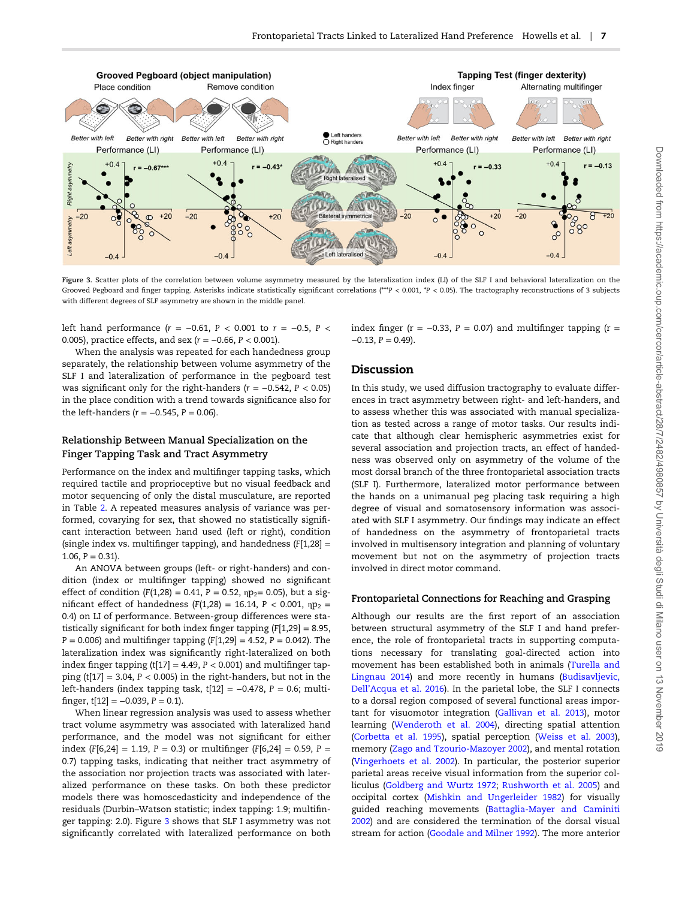<span id="page-6-0"></span>

Figure 3. Scatter plots of the correlation between volume asymmetry measured by the lateralization index (LI) of the SLF I and behavioral lateralization on the Grooved Pegboard and finger tapping. Asterisks indicate statistically significant correlations (\*\*\*P < 0.001, \*P < 0.05). The tractography reconstructions of 3 subjects with different degrees of SLF asymmetry are shown in the middle panel.

left hand performance ( $r = -0.61$ ,  $P < 0.001$  to  $r = -0.5$ ,  $P <$ 0.005), practice effects, and sex  $(r = -0.66, P < 0.001)$ .

When the analysis was repeated for each handedness group separately, the relationship between volume asymmetry of the SLF I and lateralization of performance in the pegboard test was significant only for the right-handers ( $r = -0.542$ ,  $P < 0.05$ ) in the place condition with a trend towards significance also for the left-handers ( $r = -0.545$ ,  $P = 0.06$ ).

# Relationship Between Manual Specialization on the Finger Tapping Task and Tract Asymmetry

Performance on the index and multifinger tapping tasks, which required tactile and proprioceptive but no visual feedback and motor sequencing of only the distal musculature, are reported in Table [2](#page-5-0). A repeated measures analysis of variance was performed, covarying for sex, that showed no statistically significant interaction between hand used (left or right), condition (single index vs. multifinger tapping), and handedness  $(F[1,28] =$ 1.06,  $P = 0.31$ ).

An ANOVA between groups (left- or right-handers) and condition (index or multifinger tapping) showed no significant effect of condition (F(1,28) = 0.41, P = 0.52,  $np_2$ = 0.05), but a significant effect of handedness ( $F(1,28) = 16.14$ ,  $P < 0.001$ ,  $np_2 =$ 0.4) on LI of performance. Between-group differences were statistically significant for both index finger tapping  $(F[1,29] = 8.95,$  $P = 0.006$ ) and multifinger tapping (F[1,29] = 4.52, P = 0.042). The lateralization index was significantly right-lateralized on both index finger tapping  $(t[17] = 4.49, P < 0.001)$  and multifinger tapping ( $t[17] = 3.04$ ,  $P < 0.005$ ) in the right-handers, but not in the left-handers (index tapping task,  $t[12] = -0.478$ ,  $P = 0.6$ ; multifinger,  $t[12] = -0.039$ ,  $P = 0.1$ ).

When linear regression analysis was used to assess whether tract volume asymmetry was associated with lateralized hand performance, and the model was not significant for either index (F[6,24] = 1.19, P = 0.3) or multifinger (F[6,24] = 0.59, P = 0.7) tapping tasks, indicating that neither tract asymmetry of the association nor projection tracts was associated with lateralized performance on these tasks. On both these predictor models there was homoscedasticity and independence of the residuals (Durbin–Watson statistic; index tapping: 1.9; multifinger tapping: 2.0). Figure 3 shows that SLF I asymmetry was not significantly correlated with lateralized performance on both index finger ( $r = -0.33$ ,  $P = 0.07$ ) and multifinger tapping ( $r =$  $-0.13$ ,  $P = 0.49$ ).

# Discussion

In this study, we used diffusion tractography to evaluate differences in tract asymmetry between right- and left-handers, and to assess whether this was associated with manual specialization as tested across a range of motor tasks. Our results indicate that although clear hemispheric asymmetries exist for several association and projection tracts, an effect of handedness was observed only on asymmetry of the volume of the most dorsal branch of the three frontoparietal association tracts (SLF I). Furthermore, lateralized motor performance between the hands on a unimanual peg placing task requiring a high degree of visual and somatosensory information was associated with SLF I asymmetry. Our findings may indicate an effect of handedness on the asymmetry of frontoparietal tracts involved in multisensory integration and planning of voluntary movement but not on the asymmetry of projection tracts involved in direct motor command.

#### Frontoparietal Connections for Reaching and Grasping

Although our results are the first report of an association between structural asymmetry of the SLF I and hand preference, the role of frontoparietal tracts in supporting computations necessary for translating goal-directed action into movement has been established both in animals ([Turella and](#page-12-0) [Lingnau 2014\)](#page-12-0) and more recently in humans ([Budisavljevic,](#page-10-0) Dell'[Acqua et al. 2016\)](#page-10-0). In the parietal lobe, the SLF I connects to a dorsal region composed of several functional areas important for visuomotor integration ([Gallivan et al. 2013\)](#page-10-0), motor learning [\(Wenderoth et al. 2004\)](#page-12-0), directing spatial attention [\(Corbetta et al. 1995\)](#page-10-0), spatial perception [\(Weiss et al. 2003\)](#page-12-0), memory ([Zago and Tzourio-Mazoyer 2002](#page-12-0)), and mental rotation [\(Vingerhoets et al. 2002](#page-12-0)). In particular, the posterior superior parietal areas receive visual information from the superior colliculus ([Goldberg and Wurtz 1972](#page-10-0); [Rushworth et al. 2005](#page-12-0)) and occipital cortex ([Mishkin and Ungerleider 1982](#page-11-0)) for visually guided reaching movements [\(Battaglia-Mayer and Caminiti](#page-9-0) [2002\)](#page-9-0) and are considered the termination of the dorsal visual stream for action [\(Goodale and Milner 1992\)](#page-11-0). The more anterior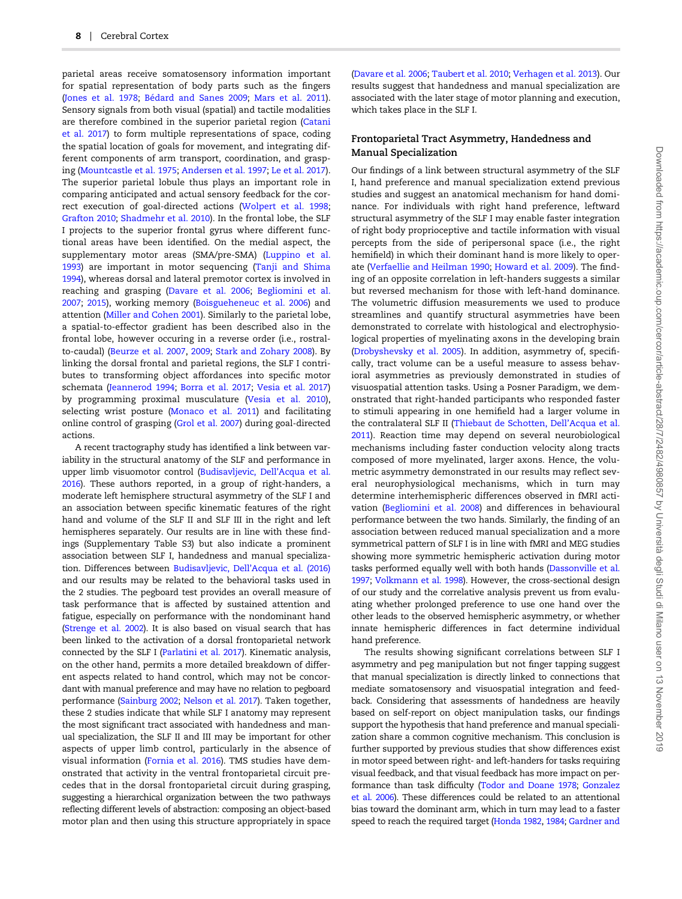parietal areas receive somatosensory information important for spatial representation of body parts such as the fingers [\(Jones et al. 1978](#page-11-0); [Bédard and Sanes 2009;](#page-10-0) [Mars et al. 2011\)](#page-11-0). Sensory signals from both visual (spatial) and tactile modalities are therefore combined in the superior parietal region [\(Catani](#page-10-0) [et al. 2017](#page-10-0)) to form multiple representations of space, coding the spatial location of goals for movement, and integrating different components of arm transport, coordination, and grasping ([Mountcastle et al. 1975](#page-11-0); [Andersen et al. 1997](#page-9-0); [Le et al. 2017\)](#page-11-0). The superior parietal lobule thus plays an important role in comparing anticipated and actual sensory feedback for the correct execution of goal-directed actions ([Wolpert et al. 1998;](#page-12-0) [Grafton 2010;](#page-11-0) [Shadmehr et al. 2010\)](#page-12-0). In the frontal lobe, the SLF I projects to the superior frontal gyrus where different functional areas have been identified. On the medial aspect, the supplementary motor areas (SMA/pre-SMA) [\(Luppino et al.](#page-11-0) [1993\)](#page-11-0) are important in motor sequencing ([Tanji and Shima](#page-12-0) [1994\)](#page-12-0), whereas dorsal and lateral premotor cortex is involved in reaching and grasping ([Davare et al. 2006;](#page-10-0) [Begliomini et al.](#page-9-0) [2007;](#page-9-0) [2015\)](#page-9-0), working memory [\(Boisgueheneuc et al. 2006](#page-9-0)) and attention ([Miller and Cohen 2001\)](#page-11-0). Similarly to the parietal lobe, a spatial-to-effector gradient has been described also in the frontal lobe, however occuring in a reverse order (i.e., rostralto-caudal) [\(Beurze et al. 2007,](#page-9-0) [2009](#page-9-0); [Stark and Zohary 2008\)](#page-12-0). By linking the dorsal frontal and parietal regions, the SLF I contributes to transforming object affordances into specific motor schemata [\(Jeannerod 1994](#page-11-0); [Borra et al. 2017;](#page-9-0) [Vesia et al. 2017\)](#page-12-0) by programming proximal musculature ([Vesia et al. 2010\)](#page-12-0), selecting wrist posture ([Monaco et al. 2011](#page-11-0)) and facilitating online control of grasping ([Grol et al. 2007\)](#page-11-0) during goal-directed actions.

A recent tractography study has identified a link between variability in the structural anatomy of the SLF and performance in upper limb visuomotor control [\(Budisavljevic, Dell](#page-10-0)'Acqua et al. [2016](#page-10-0)). These authors reported, in a group of right-handers, a moderate left hemisphere structural asymmetry of the SLF I and an association between specific kinematic features of the right hand and volume of the SLF II and SLF III in the right and left hemispheres separately. Our results are in line with these findings (Supplementary Table S3) but also indicate a prominent association between SLF I, handedness and manual specialization. Differences between Budisavljevic, Dell'[Acqua et al. \(2016\)](#page-10-0) and our results may be related to the behavioral tasks used in the 2 studies. The pegboard test provides an overall measure of task performance that is affected by sustained attention and fatigue, especially on performance with the nondominant hand [\(Strenge et al. 2002](#page-12-0)). It is also based on visual search that has been linked to the activation of a dorsal frontoparietal network connected by the SLF I [\(Parlatini et al. 2017\)](#page-11-0). Kinematic analysis, on the other hand, permits a more detailed breakdown of different aspects related to hand control, which may not be concordant with manual preference and may have no relation to pegboard performance ([Sainburg 2002](#page-12-0); [Nelson et al. 2017](#page-11-0)). Taken together, these 2 studies indicate that while SLF I anatomy may represent the most significant tract associated with handedness and manual specialization, the SLF II and III may be important for other aspects of upper limb control, particularly in the absence of visual information [\(Fornia et al. 2016](#page-10-0)). TMS studies have demonstrated that activity in the ventral frontoparietal circuit precedes that in the dorsal frontoparietal circuit during grasping, suggesting a hierarchical organization between the two pathways reflecting different levels of abstraction: composing an object-based motor plan and then using this structure appropriately in space

[\(Davare et al. 2006](#page-10-0); [Taubert et al. 2010;](#page-12-0) [Verhagen et al. 2013](#page-12-0)). Our results suggest that handedness and manual specialization are associated with the later stage of motor planning and execution, which takes place in the SLF I.

# Frontoparietal Tract Asymmetry, Handedness and Manual Specialization

Our findings of a link between structural asymmetry of the SLF I, hand preference and manual specialization extend previous studies and suggest an anatomical mechanism for hand dominance. For individuals with right hand preference, leftward structural asymmetry of the SLF I may enable faster integration of right body proprioceptive and tactile information with visual percepts from the side of peripersonal space (i.e., the right hemifield) in which their dominant hand is more likely to operate [\(Verfaellie and Heilman 1990](#page-12-0); [Howard et al. 2009](#page-11-0)). The finding of an opposite correlation in left-handers suggests a similar but reversed mechanism for those with left-hand dominance. The volumetric diffusion measurements we used to produce streamlines and quantify structural asymmetries have been demonstrated to correlate with histological and electrophysiological properties of myelinating axons in the developing brain [\(Drobyshevsky et al. 2005\)](#page-10-0). In addition, asymmetry of, specifically, tract volume can be a useful measure to assess behavioral asymmetries as previously demonstrated in studies of visuospatial attention tasks. Using a Posner Paradigm, we demonstrated that right-handed participants who responded faster to stimuli appearing in one hemifield had a larger volume in the contralateral SLF II [\(Thiebaut de Schotten, Dell](#page-12-0)'Acqua et al. [2011\)](#page-12-0). Reaction time may depend on several neurobiological mechanisms including faster conduction velocity along tracts composed of more myelinated, larger axons. Hence, the volumetric asymmetry demonstrated in our results may reflect several neurophysiological mechanisms, which in turn may determine interhemispheric differences observed in fMRI activation [\(Begliomini et al. 2008\)](#page-9-0) and differences in behavioural performance between the two hands. Similarly, the finding of an association between reduced manual specialization and a more symmetrical pattern of SLF I is in line with fMRI and MEG studies showing more symmetric hemispheric activation during motor tasks performed equally well with both hands [\(Dassonville et al.](#page-10-0) [1997](#page-10-0); [Volkmann et al. 1998](#page-12-0)). However, the cross-sectional design of our study and the correlative analysis prevent us from evaluating whether prolonged preference to use one hand over the other leads to the observed hemispheric asymmetry, or whether innate hemispheric differences in fact determine individual hand preference.

The results showing significant correlations between SLF I asymmetry and peg manipulation but not finger tapping suggest that manual specialization is directly linked to connections that mediate somatosensory and visuospatial integration and feedback. Considering that assessments of handedness are heavily based on self-report on object manipulation tasks, our findings support the hypothesis that hand preference and manual specialization share a common cognitive mechanism. This conclusion is further supported by previous studies that show differences exist in motor speed between right- and left-handers for tasks requiring visual feedback, and that visual feedback has more impact on performance than task difficulty ([Todor and Doane 1978](#page-12-0); [Gonzalez](#page-10-0) [et al. 2006](#page-10-0)). These differences could be related to an attentional bias toward the dominant arm, which in turn may lead to a faster speed to reach the required target [\(Honda 1982,](#page-11-0) [1984;](#page-11-0) [Gardner and](#page-10-0)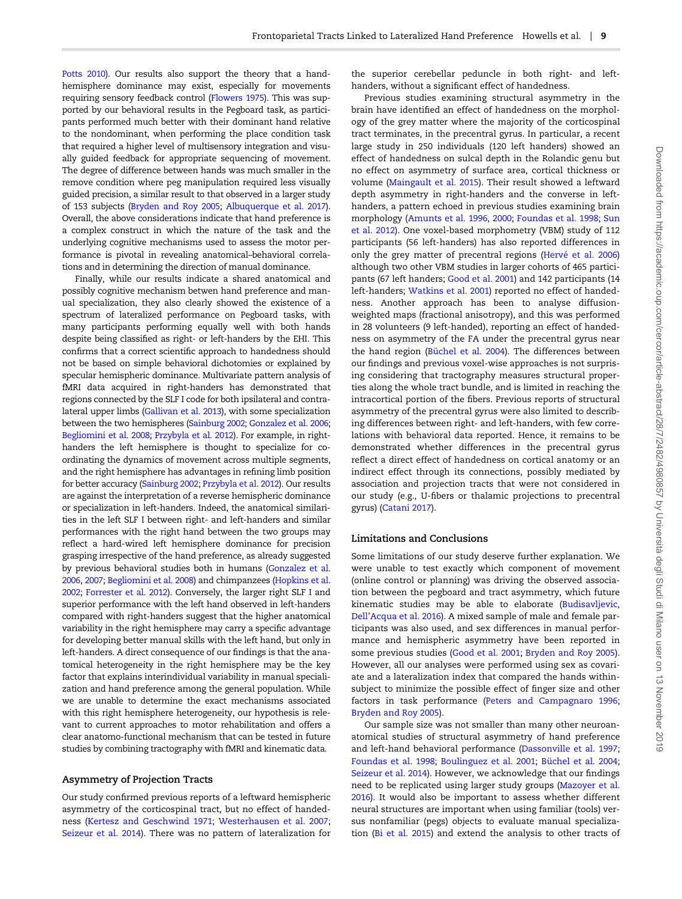[Potts 2010\)](#page-10-0). Our results also support the theory that a handhemisphere dominance may exist, especially for movements requiring sensory feedback control ([Flowers 1975](#page-10-0)). This was supported by our behavioral results in the Pegboard task, as participants performed much better with their dominant hand relative to the nondominant, when performing the place condition task that required a higher level of multisensory integration and visually guided feedback for appropriate sequencing of movement. The degree of difference between hands was much smaller in the remove condition where peg manipulation required less visually guided precision, a similar result to that observed in a larger study of 153 subjects ([Bryden and Roy 2005;](#page-10-0) [Albuquerque et al. 2017\)](#page-9-0). Overall, the above considerations indicate that hand preference is a complex construct in which the nature of the task and the underlying cognitive mechanisms used to assess the motor performance is pivotal in revealing anatomical–behavioral correlations and in determining the direction of manual dominance.

Finally, while our results indicate a shared anatomical and possibly cognitive mechanism betwen hand preference and manual specialization, they also clearly showed the existence of a spectrum of lateralized performance on Pegboard tasks, with many participants performing equally well with both hands despite being classified as right- or left-handers by the EHI. This confirms that a correct scientific approach to handedness should not be based on simple behavioral dichotomies or explained by specular hemispheric dominance. Multivariate pattern analysis of fMRI data acquired in right-handers has demonstrated that regions connected by the SLF I code for both ipsilateral and contralateral upper limbs ([Gallivan et al. 2013\)](#page-10-0), with some specialization between the two hemispheres [\(Sainburg 2002](#page-12-0); [Gonzalez et al. 2006;](#page-10-0) [Begliomini et al. 2008](#page-9-0); [Przybyla et al. 2012](#page-11-0)). For example, in righthanders the left hemisphere is thought to specialize for coordinating the dynamics of movement across multiple segments, and the right hemisphere has advantages in refining limb position for better accuracy ([Sainburg 2002;](#page-12-0) [Przybyla et al. 2012\)](#page-11-0). Our results are against the interpretation of a reverse hemispheric dominance or specialization in left-handers. Indeed, the anatomical similarities in the left SLF I between right- and left-handers and similar performances with the right hand between the two groups may reflect a hard-wired left hemisphere dominance for precision grasping irrespective of the hand preference, as already suggested by previous behavioral studies both in humans ([Gonzalez et al.](#page-10-0) [2006,](#page-10-0) [2007;](#page-10-0) [Begliomini et al. 2008](#page-9-0)) and chimpanzees ([Hopkins et al.](#page-11-0) [2002;](#page-11-0) [Forrester et al. 2012\)](#page-10-0). Conversely, the larger right SLF I and superior performance with the left hand observed in left-handers compared with right-handers suggest that the higher anatomical variability in the right hemisphere may carry a specific advantage for developing better manual skills with the left hand, but only in left-handers. A direct consequence of our findings is that the anatomical heterogeneity in the right hemisphere may be the key factor that explains interindividual variability in manual specialization and hand preference among the general population. While we are unable to determine the exact mechanisms associated with this right hemisphere heterogeneity, our hypothesis is relevant to current approaches to motor rehabilitation and offers a clear anatomo-functional mechanism that can be tested in future studies by combining tractography with fMRI and kinematic data.

## Asymmetry of Projection Tracts

Our study confirmed previous reports of a leftward hemispheric asymmetry of the corticospinal tract, but no effect of handedness [\(Kertesz and Geschwind 1971;](#page-11-0) [Westerhausen et al. 2007;](#page-12-0) [Seizeur et al. 2014\)](#page-12-0). There was no pattern of lateralization for

the superior cerebellar peduncle in both right- and lefthanders, without a significant effect of handedness.

Previous studies examining structural asymmetry in the brain have identified an effect of handedness on the morphology of the grey matter where the majority of the corticospinal tract terminates, in the precentral gyrus. In particular, a recent large study in 250 individuals (120 left handers) showed an effect of handedness on sulcal depth in the Rolandic genu but no effect on asymmetry of surface area, cortical thickness or volume ([Maingault et al. 2015\)](#page-11-0). Their result showed a leftward depth asymmetry in right-handers and the converse in lefthanders, a pattern echoed in previous studies examining brain morphology [\(Amunts et al. 1996,](#page-9-0) [2000;](#page-9-0) [Foundas et al. 1998](#page-10-0); [Sun](#page-12-0) [et al. 2012\)](#page-12-0). One voxel-based morphometry (VBM) study of 112 participants (56 left-handers) has also reported differences in only the grey matter of precentral regions [\(Hervé et al. 2006\)](#page-11-0) although two other VBM studies in larger cohorts of 465 participants (67 left handers; [Good et al. 2001\)](#page-10-0) and 142 participants (14 left-handers; [Watkins et al. 2001](#page-12-0)) reported no effect of handedness. Another approach has been to analyse diffusionweighted maps (fractional anisotropy), and this was performed in 28 volunteers (9 left-handed), reporting an effect of handedness on asymmetry of the FA under the precentral gyrus near the hand region ([Büchel et al. 2004\)](#page-10-0). The differences between our findings and previous voxel-wise approaches is not surprising considering that tractography measures structural properties along the whole tract bundle, and is limited in reaching the intracortical portion of the fibers. Previous reports of structural asymmetry of the precentral gyrus were also limited to describing differences between right- and left-handers, with few correlations with behavioral data reported. Hence, it remains to be demonstrated whether differences in the precentral gyrus reflect a direct effect of handedness on cortical anatomy or an indirect effect through its connections, possibly mediated by association and projection tracts that were not considered in our study (e.g., U-fibers or thalamic projections to precentral gyrus) ([Catani 2017\)](#page-10-0).

#### Limitations and Conclusions

Some limitations of our study deserve further explanation. We were unable to test exactly which component of movement (online control or planning) was driving the observed association between the pegboard and tract asymmetry, which future kinematic studies may be able to elaborate ([Budisavljevic,](#page-10-0) Dell'[Acqua et al. 2016](#page-10-0)). A mixed sample of male and female participants was also used, and sex differences in manual performance and hemispheric asymmetry have been reported in some previous studies [\(Good et al. 2001](#page-10-0); [Bryden and Roy 2005\)](#page-10-0). However, all our analyses were performed using sex as covariate and a lateralization index that compared the hands withinsubject to minimize the possible effect of finger size and other factors in task performance [\(Peters and Campagnaro 1996;](#page-11-0) [Bryden and Roy 2005](#page-10-0)).

Our sample size was not smaller than many other neuroanatomical studies of structural asymmetry of hand preference and left-hand behavioral performance [\(Dassonville et al. 1997;](#page-10-0) [Foundas et al. 1998;](#page-10-0) [Boulinguez et al. 2001](#page-9-0); [Büchel et al. 2004;](#page-10-0) [Seizeur et al. 2014\)](#page-12-0). However, we acknowledge that our findings need to be replicated using larger study groups ([Mazoyer et al.](#page-11-0) [2016\)](#page-11-0). It would also be important to assess whether different neural structures are important when using familiar (tools) versus nonfamiliar (pegs) objects to evaluate manual specialization [\(Bi et al. 2015](#page-9-0)) and extend the analysis to other tracts of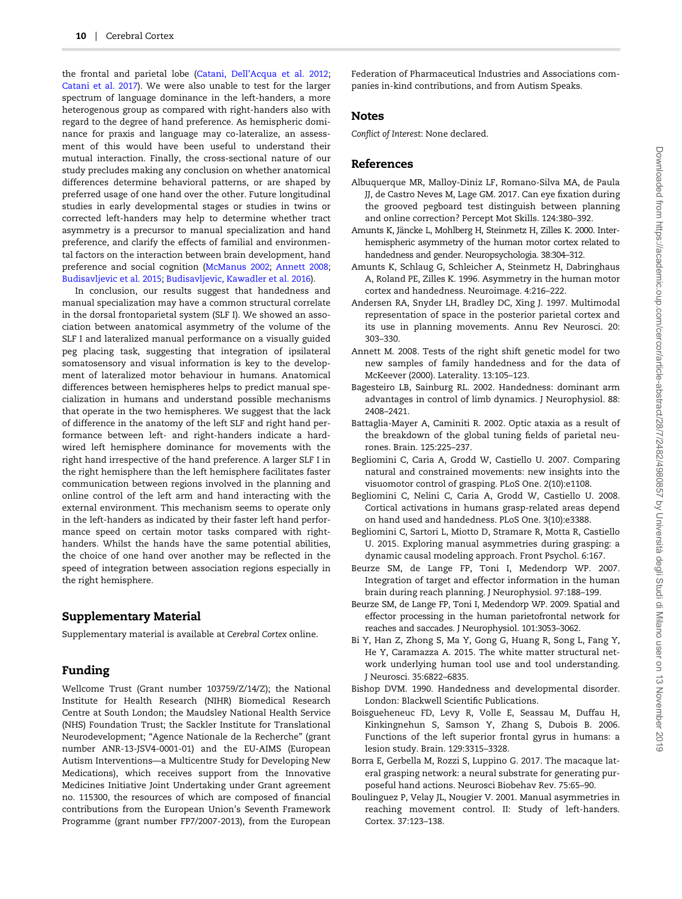<span id="page-9-0"></span>the frontal and parietal lobe (Catani, Dell'[Acqua et al. 2012;](#page-10-0) [Catani et al. 2017\)](#page-10-0). We were also unable to test for the larger spectrum of language dominance in the left-handers, a more heterogenous group as compared with right-handers also with regard to the degree of hand preference. As hemispheric dominance for praxis and language may co-lateralize, an assessment of this would have been useful to understand their mutual interaction. Finally, the cross-sectional nature of our study precludes making any conclusion on whether anatomical differences determine behavioral patterns, or are shaped by preferred usage of one hand over the other. Future longitudinal studies in early developmental stages or studies in twins or corrected left-handers may help to determine whether tract asymmetry is a precursor to manual specialization and hand preference, and clarify the effects of familial and environmental factors on the interaction between brain development, hand preference and social cognition [\(McManus 2002;](#page-11-0) Annett 2008; [Budisavljevic et al. 2015;](#page-10-0) [Budisavljevic, Kawadler et al. 2016\)](#page-10-0).

In conclusion, our results suggest that handedness and manual specialization may have a common structural correlate in the dorsal frontoparietal system (SLF I). We showed an association between anatomical asymmetry of the volume of the SLF I and lateralized manual performance on a visually guided peg placing task, suggesting that integration of ipsilateral somatosensory and visual information is key to the development of lateralized motor behaviour in humans. Anatomical differences between hemispheres helps to predict manual specialization in humans and understand possible mechanisms that operate in the two hemispheres. We suggest that the lack of difference in the anatomy of the left SLF and right hand performance between left- and right-handers indicate a hardwired left hemisphere dominance for movements with the right hand irrespective of the hand preference. A larger SLF I in the right hemisphere than the left hemisphere facilitates faster communication between regions involved in the planning and online control of the left arm and hand interacting with the external environment. This mechanism seems to operate only in the left-handers as indicated by their faster left hand performance speed on certain motor tasks compared with righthanders. Whilst the hands have the same potential abilities, the choice of one hand over another may be reflected in the speed of integration between association regions especially in the right hemisphere.

# Supplementary Material

Supplementary material is available at Cerebral Cortex online.

# Funding

Wellcome Trust (Grant number 103759/Z/14/Z); the National Institute for Health Research (NIHR) Biomedical Research Centre at South London; the Maudsley National Health Service (NHS) Foundation Trust; the Sackler Institute for Translational Neurodevelopment; "Agence Nationale de la Recherche" (grant number ANR-13-JSV4-0001-01) and the EU-AIMS (European Autism Interventions—a Multicentre Study for Developing New Medications), which receives support from the Innovative Medicines Initiative Joint Undertaking under Grant agreement no. 115300, the resources of which are composed of financial contributions from the European Union's Seventh Framework Programme (grant number FP7/2007-2013), from the European Federation of Pharmaceutical Industries and Associations companies in-kind contributions, and from Autism Speaks.

## Notes

Conflict of Interest: None declared.

## References

- Albuquerque MR, Malloy-Diniz LF, Romano-Silva MA, de Paula JJ, de Castro Neves M, Lage GM. 2017. Can eye fixation during the grooved pegboard test distinguish between planning and online correction? Percept Mot Skills. 124:380–392.
- Amunts K, Jäncke L, Mohlberg H, Steinmetz H, Zilles K. 2000. Interhemispheric asymmetry of the human motor cortex related to handedness and gender. Neuropsychologia. 38:304–312.
- Amunts K, Schlaug G, Schleicher A, Steinmetz H, Dabringhaus A, Roland PE, Zilles K. 1996. Asymmetry in the human motor cortex and handedness. Neuroimage. 4:216–222.
- Andersen RA, Snyder LH, Bradley DC, Xing J. 1997. Multimodal representation of space in the posterior parietal cortex and its use in planning movements. Annu Rev Neurosci. 20: 303–330.
- Annett M. 2008. Tests of the right shift genetic model for two new samples of family handedness and for the data of McKeever (2000). Laterality. 13:105–123.
- Bagesteiro LB, Sainburg RL. 2002. Handedness: dominant arm advantages in control of limb dynamics. J Neurophysiol. 88: 2408–2421.
- Battaglia-Mayer A, Caminiti R. 2002. Optic ataxia as a result of the breakdown of the global tuning fields of parietal neurones. Brain. 125:225–237.
- Begliomini C, Caria A, Grodd W, Castiello U. 2007. Comparing natural and constrained movements: new insights into the visuomotor control of grasping. PLoS One. 2(10):e1108.
- Begliomini C, Nelini C, Caria A, Grodd W, Castiello U. 2008. Cortical activations in humans grasp-related areas depend on hand used and handedness. PLoS One. 3(10):e3388.
- Begliomini C, Sartori L, Miotto D, Stramare R, Motta R, Castiello U. 2015. Exploring manual asymmetries during grasping: a dynamic causal modeling approach. Front Psychol. 6:167.
- Beurze SM, de Lange FP, Toni I, Medendorp WP. 2007. Integration of target and effector information in the human brain during reach planning. J Neurophysiol. 97:188–199.
- Beurze SM, de Lange FP, Toni I, Medendorp WP. 2009. Spatial and effector processing in the human parietofrontal network for reaches and saccades. J Neurophysiol. 101:3053–3062.
- Bi Y, Han Z, Zhong S, Ma Y, Gong G, Huang R, Song L, Fang Y, He Y, Caramazza A. 2015. The white matter structural network underlying human tool use and tool understanding. J Neurosci. 35:6822–6835.
- Bishop DVM. 1990. Handedness and developmental disorder. London: Blackwell Scientific Publications.
- Boisgueheneuc FD, Levy R, Volle E, Seassau M, Duffau H, Kinkingnehun S, Samson Y, Zhang S, Dubois B. 2006. Functions of the left superior frontal gyrus in humans: a lesion study. Brain. 129:3315–3328.
- Borra E, Gerbella M, Rozzi S, Luppino G. 2017. The macaque lateral grasping network: a neural substrate for generating purposeful hand actions. Neurosci Biobehav Rev. 75:65–90.
- Boulinguez P, Velay JL, Nougier V. 2001. Manual asymmetries in reaching movement control. II: Study of left-handers. Cortex. 37:123–138.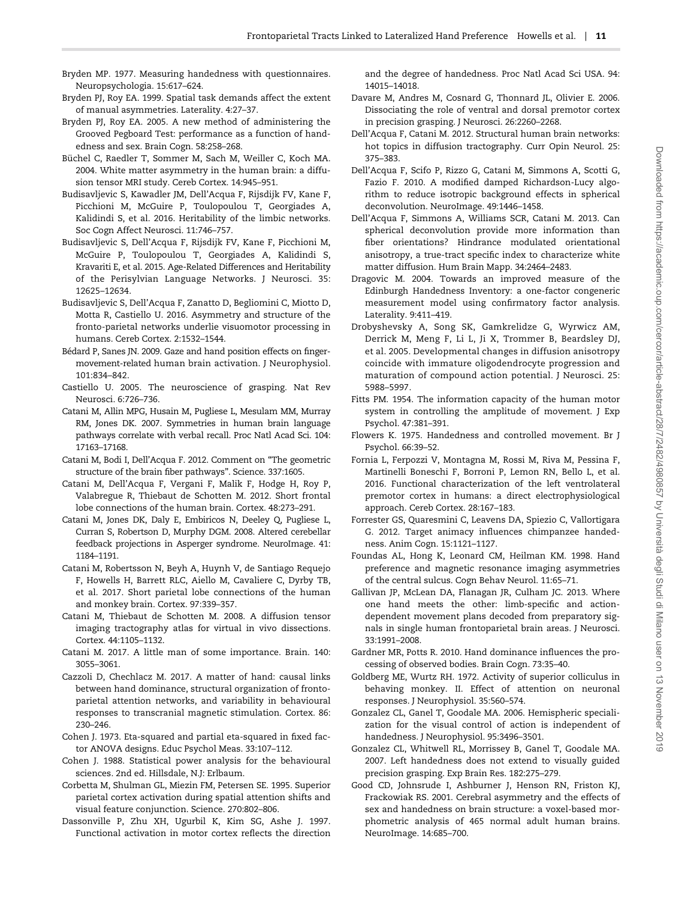- <span id="page-10-0"></span>Bryden MP. 1977. Measuring handedness with questionnaires. Neuropsychologia. 15:617–624.
- Bryden PJ, Roy EA. 1999. Spatial task demands affect the extent of manual asymmetries. Laterality. 4:27–37.
- Bryden PJ, Roy EA. 2005. A new method of administering the Grooved Pegboard Test: performance as a function of handedness and sex. Brain Cogn. 58:258–268.
- Büchel C, Raedler T, Sommer M, Sach M, Weiller C, Koch MA. 2004. White matter asymmetry in the human brain: a diffusion tensor MRI study. Cereb Cortex. 14:945–951.
- Budisavljevic S, Kawadler JM, Dell'Acqua F, Rijsdijk FV, Kane F, Picchioni M, McGuire P, Toulopoulou T, Georgiades A, Kalidindi S, et al. 2016. Heritability of the limbic networks. Soc Cogn Affect Neurosci. 11:746–757.
- Budisavljevic S, Dell'Acqua F, Rijsdijk FV, Kane F, Picchioni M, McGuire P, Toulopoulou T, Georgiades A, Kalidindi S, Kravariti E, et al. 2015. Age-Related Differences and Heritability of the Perisylvian Language Networks. J Neurosci. 35: 12625–12634.
- Budisavljevic S, Dell'Acqua F, Zanatto D, Begliomini C, Miotto D, Motta R, Castiello U. 2016. Asymmetry and structure of the fronto-parietal networks underlie visuomotor processing in humans. Cereb Cortex. 2:1532–1544.
- Bédard P, Sanes JN. 2009. Gaze and hand position effects on fingermovement-related human brain activation. J Neurophysiol. 101:834–842.
- Castiello U. 2005. The neuroscience of grasping. Nat Rev Neurosci. 6:726–736.
- Catani M, Allin MPG, Husain M, Pugliese L, Mesulam MM, Murray RM, Jones DK. 2007. Symmetries in human brain language pathways correlate with verbal recall. Proc Natl Acad Sci. 104: 17163–17168.
- Catani M, Bodi I, Dell'Acqua F. 2012. Comment on "The geometric structure of the brain fiber pathways". Science. 337:1605.
- Catani M, Dell'Acqua F, Vergani F, Malik F, Hodge H, Roy P, Valabregue R, Thiebaut de Schotten M. 2012. Short frontal lobe connections of the human brain. Cortex. 48:273–291.
- Catani M, Jones DK, Daly E, Embiricos N, Deeley Q, Pugliese L, Curran S, Robertson D, Murphy DGM. 2008. Altered cerebellar feedback projections in Asperger syndrome. NeuroImage. 41: 1184–1191.
- Catani M, Robertsson N, Beyh A, Huynh V, de Santiago Requejo F, Howells H, Barrett RLC, Aiello M, Cavaliere C, Dyrby TB, et al. 2017. Short parietal lobe connections of the human and monkey brain. Cortex. 97:339–357.
- Catani M, Thiebaut de Schotten M. 2008. A diffusion tensor imaging tractography atlas for virtual in vivo dissections. Cortex. 44:1105–1132.
- Catani M. 2017. A little man of some importance. Brain. 140: 3055–3061.
- Cazzoli D, Chechlacz M. 2017. A matter of hand: causal links between hand dominance, structural organization of frontoparietal attention networks, and variability in behavioural responses to transcranial magnetic stimulation. Cortex. 86: 230–246.
- Cohen J. 1973. Eta-squared and partial eta-squared in fixed factor ANOVA designs. Educ Psychol Meas. 33:107–112.
- Cohen J. 1988. Statistical power analysis for the behavioural sciences. 2nd ed. Hillsdale, N.J: Erlbaum.
- Corbetta M, Shulman GL, Miezin FM, Petersen SE. 1995. Superior parietal cortex activation during spatial attention shifts and visual feature conjunction. Science. 270:802–806.
- Dassonville P, Zhu XH, Ugurbil K, Kim SG, Ashe J. 1997. Functional activation in motor cortex reflects the direction

and the degree of handedness. Proc Natl Acad Sci USA. 94: 14015–14018.

- Davare M, Andres M, Cosnard G, Thonnard JL, Olivier E. 2006. Dissociating the role of ventral and dorsal premotor cortex in precision grasping. J Neurosci. 26:2260–2268.
- Dell'Acqua F, Catani M. 2012. Structural human brain networks: hot topics in diffusion tractography. Curr Opin Neurol. 25: 375–383.
- Dell'Acqua F, Scifo P, Rizzo G, Catani M, Simmons A, Scotti G, Fazio F. 2010. A modified damped Richardson-Lucy algorithm to reduce isotropic background effects in spherical deconvolution. NeuroImage. 49:1446–1458.
- Dell'Acqua F, Simmons A, Williams SCR, Catani M. 2013. Can spherical deconvolution provide more information than fiber orientations? Hindrance modulated orientational anisotropy, a true-tract specific index to characterize white matter diffusion. Hum Brain Mapp. 34:2464–2483.
- Dragovic M. 2004. Towards an improved measure of the Edinburgh Handedness Inventory: a one‐factor congeneric measurement model using confirmatory factor analysis. Laterality. 9:411–419.
- Drobyshevsky A, Song SK, Gamkrelidze G, Wyrwicz AM, Derrick M, Meng F, Li L, Ji X, Trommer B, Beardsley DJ, et al. 2005. Developmental changes in diffusion anisotropy coincide with immature oligodendrocyte progression and maturation of compound action potential. J Neurosci. 25: 5988–5997.
- Fitts PM. 1954. The information capacity of the human motor system in controlling the amplitude of movement. J Exp Psychol. 47:381–391.
- Flowers K. 1975. Handedness and controlled movement. Br J Psychol. 66:39–52.
- Fornia L, Ferpozzi V, Montagna M, Rossi M, Riva M, Pessina F, Martinelli Boneschi F, Borroni P, Lemon RN, Bello L, et al. 2016. Functional characterization of the left ventrolateral premotor cortex in humans: a direct electrophysiological approach. Cereb Cortex. 28:167–183.
- Forrester GS, Quaresmini C, Leavens DA, Spiezio C, Vallortigara G. 2012. Target animacy influences chimpanzee handedness. Anim Cogn. 15:1121–1127.
- Foundas AL, Hong K, Leonard CM, Heilman KM. 1998. Hand preference and magnetic resonance imaging asymmetries of the central sulcus. Cogn Behav Neurol. 11:65–71.
- Gallivan JP, McLean DA, Flanagan JR, Culham JC. 2013. Where one hand meets the other: limb-specific and actiondependent movement plans decoded from preparatory signals in single human frontoparietal brain areas. J Neurosci. 33:1991–2008.
- Gardner MR, Potts R. 2010. Hand dominance influences the processing of observed bodies. Brain Cogn. 73:35–40.
- Goldberg ME, Wurtz RH. 1972. Activity of superior colliculus in behaving monkey. II. Effect of attention on neuronal responses. J Neurophysiol. 35:560–574.
- Gonzalez CL, Ganel T, Goodale MA. 2006. Hemispheric specialization for the visual control of action is independent of handedness. J Neurophysiol. 95:3496–3501.
- Gonzalez CL, Whitwell RL, Morrissey B, Ganel T, Goodale MA. 2007. Left handedness does not extend to visually guided precision grasping. Exp Brain Res. 182:275–279.
- Good CD, Johnsrude I, Ashburner J, Henson RN, Friston KJ, Frackowiak RS. 2001. Cerebral asymmetry and the effects of sex and handedness on brain structure: a voxel-based morphometric analysis of 465 normal adult human brains. NeuroImage. 14:685–700.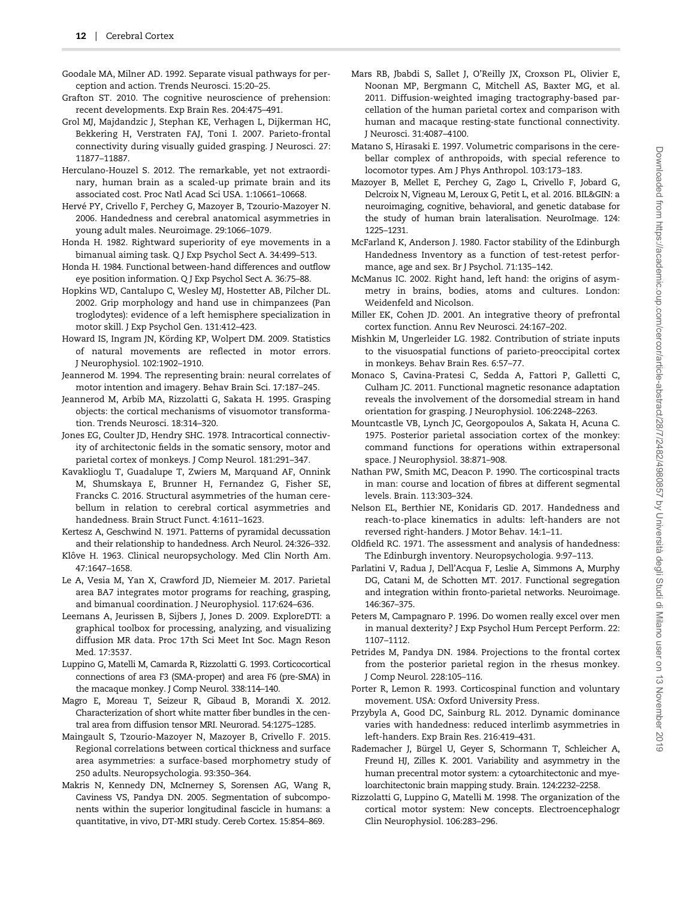- <span id="page-11-0"></span>Goodale MA, Milner AD. 1992. Separate visual pathways for perception and action. Trends Neurosci. 15:20–25.
- Grafton ST. 2010. The cognitive neuroscience of prehension: recent developments. Exp Brain Res. 204:475–491.
- Grol MJ, Majdandzic J, Stephan KE, Verhagen L, Dijkerman HC, Bekkering H, Verstraten FAJ, Toni I. 2007. Parieto-frontal connectivity during visually guided grasping. J Neurosci. 27: 11877–11887.
- Herculano-Houzel S. 2012. The remarkable, yet not extraordinary, human brain as a scaled-up primate brain and its associated cost. Proc Natl Acad Sci USA. 1:10661–10668.
- Hervé PY, Crivello F, Perchey G, Mazoyer B, Tzourio-Mazoyer N. 2006. Handedness and cerebral anatomical asymmetries in young adult males. Neuroimage. 29:1066–1079.
- Honda H. 1982. Rightward superiority of eye movements in a bimanual aiming task. Q J Exp Psychol Sect A. 34:499–513.
- Honda H. 1984. Functional between-hand differences and outflow eye position information. Q J Exp Psychol Sect A. 36:75–88.
- Hopkins WD, Cantalupo C, Wesley MJ, Hostetter AB, Pilcher DL. 2002. Grip morphology and hand use in chimpanzees (Pan troglodytes): evidence of a left hemisphere specialization in motor skill. J Exp Psychol Gen. 131:412–423.
- Howard IS, Ingram JN, Körding KP, Wolpert DM. 2009. Statistics of natural movements are reflected in motor errors. J Neurophysiol. 102:1902–1910.
- Jeannerod M. 1994. The representing brain: neural correlates of motor intention and imagery. Behav Brain Sci. 17:187–245.
- Jeannerod M, Arbib MA, Rizzolatti G, Sakata H. 1995. Grasping objects: the cortical mechanisms of visuomotor transformation. Trends Neurosci. 18:314–320.
- Jones EG, Coulter JD, Hendry SHC. 1978. Intracortical connectivity of architectonic fields in the somatic sensory, motor and parietal cortex of monkeys. J Comp Neurol. 181:291–347.
- Kavaklioglu T, Guadalupe T, Zwiers M, Marquand AF, Onnink M, Shumskaya E, Brunner H, Fernandez G, Fisher SE, Francks C. 2016. Structural asymmetries of the human cerebellum in relation to cerebral cortical asymmetries and handedness. Brain Struct Funct. 4:1611–1623.
- Kertesz A, Geschwind N. 1971. Patterns of pyramidal decussation and their relationship to handedness. Arch Neurol. 24:326–332.
- Klôve H. 1963. Clinical neuropsychology. Med Clin North Am. 47:1647–1658.
- Le A, Vesia M, Yan X, Crawford JD, Niemeier M. 2017. Parietal area BA7 integrates motor programs for reaching, grasping, and bimanual coordination. J Neurophysiol. 117:624–636.
- Leemans A, Jeurissen B, Sijbers J, Jones D. 2009. ExploreDTI: a graphical toolbox for processing, analyzing, and visualizing diffusion MR data. Proc 17th Sci Meet Int Soc. Magn Reson Med. 17:3537.
- Luppino G, Matelli M, Camarda R, Rizzolatti G. 1993. Corticocortical connections of area F3 (SMA-proper) and area F6 (pre-SMA) in the macaque monkey. J Comp Neurol. 338:114–140.
- Magro E, Moreau T, Seizeur R, Gibaud B, Morandi X. 2012. Characterization of short white matter fiber bundles in the central area from diffusion tensor MRI. Neurorad. 54:1275–1285.
- Maingault S, Tzourio-Mazoyer N, Mazoyer B, Crivello F. 2015. Regional correlations between cortical thickness and surface area asymmetries: a surface-based morphometry study of 250 adults. Neuropsychologia. 93:350–364.
- Makris N, Kennedy DN, McInerney S, Sorensen AG, Wang R, Caviness VS, Pandya DN. 2005. Segmentation of subcomponents within the superior longitudinal fascicle in humans: a quantitative, in vivo, DT-MRI study. Cereb Cortex. 15:854–869.
- Mars RB, Jbabdi S, Sallet J, O'Reilly JX, Croxson PL, Olivier E, Noonan MP, Bergmann C, Mitchell AS, Baxter MG, et al. 2011. Diffusion-weighted imaging tractography-based parcellation of the human parietal cortex and comparison with human and macaque resting-state functional connectivity. J Neurosci. 31:4087–4100.
- Matano S, Hirasaki E. 1997. Volumetric comparisons in the cerebellar complex of anthropoids, with special reference to locomotor types. Am J Phys Anthropol. 103:173–183.
- Mazoyer B, Mellet E, Perchey G, Zago L, Crivello F, Jobard G, Delcroix N, Vigneau M, Leroux G, Petit L, et al. 2016. BIL&GIN: a neuroimaging, cognitive, behavioral, and genetic database for the study of human brain lateralisation. NeuroImage. 124: 1225–1231.
- McFarland K, Anderson J. 1980. Factor stability of the Edinburgh Handedness Inventory as a function of test‐retest performance, age and sex. Br J Psychol. 71:135–142.
- McManus IC. 2002. Right hand, left hand: the origins of asymmetry in brains, bodies, atoms and cultures. London: Weidenfeld and Nicolson.
- Miller EK, Cohen JD. 2001. An integrative theory of prefrontal cortex function. Annu Rev Neurosci. 24:167–202.
- Mishkin M, Ungerleider LG. 1982. Contribution of striate inputs to the visuospatial functions of parieto-preoccipital cortex in monkeys. Behav Brain Res. 6:57–77.
- Monaco S, Cavina-Pratesi C, Sedda A, Fattori P, Galletti C, Culham JC. 2011. Functional magnetic resonance adaptation reveals the involvement of the dorsomedial stream in hand orientation for grasping. J Neurophysiol. 106:2248–2263.
- Mountcastle VB, Lynch JC, Georgopoulos A, Sakata H, Acuna C. 1975. Posterior parietal association cortex of the monkey: command functions for operations within extrapersonal space. J Neurophysiol. 38:871–908.
- Nathan PW, Smith MC, Deacon P. 1990. The corticospinal tracts in man: course and location of fibres at different segmental levels. Brain. 113:303–324.
- Nelson EL, Berthier NE, Konidaris GD. 2017. Handedness and reach-to-place kinematics in adults: left-handers are not reversed right-handers. J Motor Behav. 14:1–11.
- Oldfield RC. 1971. The assessment and analysis of handedness: The Edinburgh inventory. Neuropsychologia. 9:97–113.
- Parlatini V, Radua J, Dell'Acqua F, Leslie A, Simmons A, Murphy DG, Catani M, de Schotten MT. 2017. Functional segregation and integration within fronto-parietal networks. Neuroimage. 146:367–375.
- Peters M, Campagnaro P. 1996. Do women really excel over men in manual dexterity? J Exp Psychol Hum Percept Perform. 22: 1107–1112.
- Petrides M, Pandya DN. 1984. Projections to the frontal cortex from the posterior parietal region in the rhesus monkey. J Comp Neurol. 228:105–116.
- Porter R, Lemon R. 1993. Corticospinal function and voluntary movement. USA: Oxford University Press.
- Przybyla A, Good DC, Sainburg RL. 2012. Dynamic dominance varies with handedness: reduced interlimb asymmetries in left-handers. Exp Brain Res. 216:419–431.
- Rademacher J, Bürgel U, Geyer S, Schormann T, Schleicher A, Freund HJ, Zilles K. 2001. Variability and asymmetry in the human precentral motor system: a cytoarchitectonic and myeloarchitectonic brain mapping study. Brain. 124:2232–2258.
- Rizzolatti G, Luppino G, Matelli M. 1998. The organization of the cortical motor system: New concepts. Electroencephalogr Clin Neurophysiol. 106:283–296.